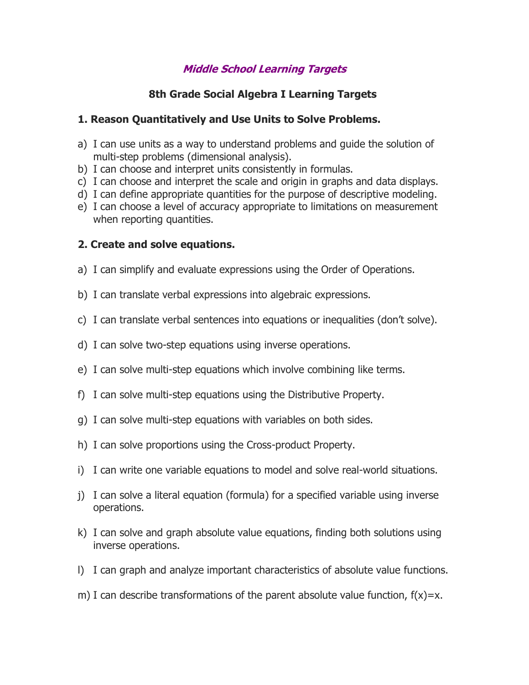# **Middle School Learning Targets**

# **8th Grade Social Algebra I Learning Targets**

## **1. Reason Quantitatively and Use Units to Solve Problems.**

- a) I can use units as a way to understand problems and guide the solution of multi-step problems (dimensional analysis).
- b) I can choose and interpret units consistently in formulas.
- c) I can choose and interpret the scale and origin in graphs and data displays.
- d) I can define appropriate quantities for the purpose of descriptive modeling.
- e) I can choose a level of accuracy appropriate to limitations on measurement when reporting quantities.

## **2. Create and solve equations.**

- a) I can simplify and evaluate expressions using the Order of Operations.
- b) I can translate verbal expressions into algebraic expressions.
- c) I can translate verbal sentences into equations or inequalities (don't solve).
- d) I can solve two-step equations using inverse operations.
- e) I can solve multi-step equations which involve combining like terms.
- f) I can solve multi-step equations using the Distributive Property.
- g) I can solve multi-step equations with variables on both sides.
- h) I can solve proportions using the Cross-product Property.
- i) I can write one variable equations to model and solve real-world situations.
- j) I can solve a literal equation (formula) for a specified variable using inverse operations.
- k) I can solve and graph absolute value equations, finding both solutions using inverse operations.
- l) I can graph and analyze important characteristics of absolute value functions.
- m) I can describe transformations of the parent absolute value function,  $f(x)=x$ .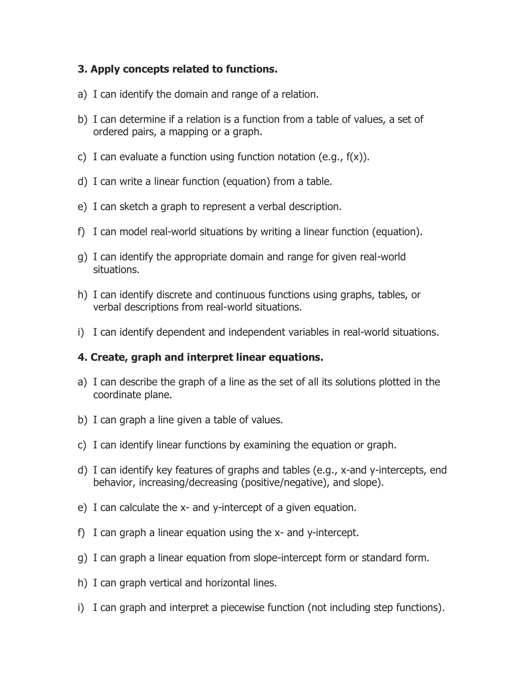## **3. Apply concepts related to functions.**

- a) I can identify the domain and range of a relation.
- b) I can determine if a relation is a function from a table of values, a set of ordered pairs, a mapping or a graph.
- c) I can evaluate a function using function notation (e.g.,  $f(x)$ ).
- d) I can write a linear function (equation) from a table.
- e) I can sketch a graph to represent a verbal description.
- f) I can model real-world situations by writing a linear function (equation).
- g) I can identify the appropriate domain and range for given real-world situations.
- h) I can identify discrete and continuous functions using graphs, tables, or verbal descriptions from real-world situations.
- i) I can identify dependent and independent variables in real-world situations.

### **4. Create, graph and interpret linear equations.**

- a) I can describe the graph of a line as the set of all its solutions plotted in the coordinate plane.
- b) I can graph a line given a table of values.
- c) I can identify linear functions by examining the equation or graph.
- d) I can identify key features of graphs and tables (e.g., x-and y-intercepts, end behavior, increasing/decreasing (positive/negative), and slope).
- e) I can calculate the x- and y-intercept of a given equation.
- f) I can graph a linear equation using the x- and y-intercept.
- g) I can graph a linear equation from slope-intercept form or standard form.
- h) I can graph vertical and horizontal lines.
- i) I can graph and interpret a piecewise function (not including step functions).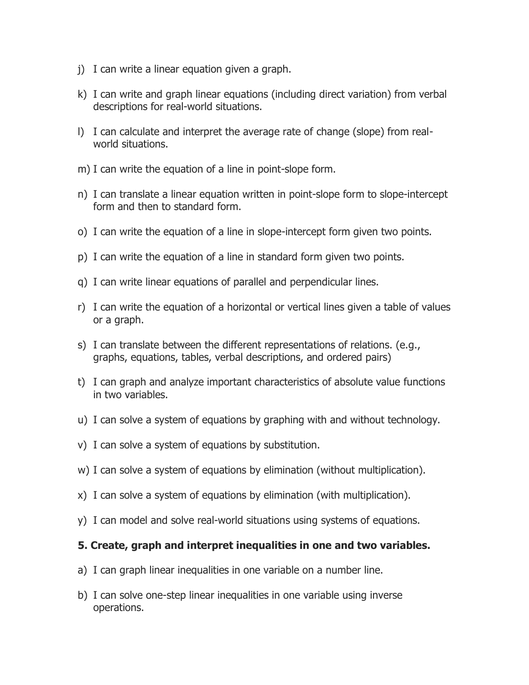- j) I can write a linear equation given a graph.
- k) I can write and graph linear equations (including direct variation) from verbal descriptions for real-world situations.
- l) I can calculate and interpret the average rate of change (slope) from realworld situations.
- m) I can write the equation of a line in point-slope form.
- n) I can translate a linear equation written in point-slope form to slope-intercept form and then to standard form.
- o) I can write the equation of a line in slope-intercept form given two points.
- p) I can write the equation of a line in standard form given two points.
- q) I can write linear equations of parallel and perpendicular lines.
- r) I can write the equation of a horizontal or vertical lines given a table of values or a graph.
- s) I can translate between the different representations of relations. (e.g., graphs, equations, tables, verbal descriptions, and ordered pairs)
- t) I can graph and analyze important characteristics of absolute value functions in two variables.
- u) I can solve a system of equations by graphing with and without technology.
- v) I can solve a system of equations by substitution.
- w) I can solve a system of equations by elimination (without multiplication).
- x) I can solve a system of equations by elimination (with multiplication).
- y) I can model and solve real-world situations using systems of equations.

#### **5. Create, graph and interpret inequalities in one and two variables.**

- a) I can graph linear inequalities in one variable on a number line.
- b) I can solve one-step linear inequalities in one variable using inverse operations.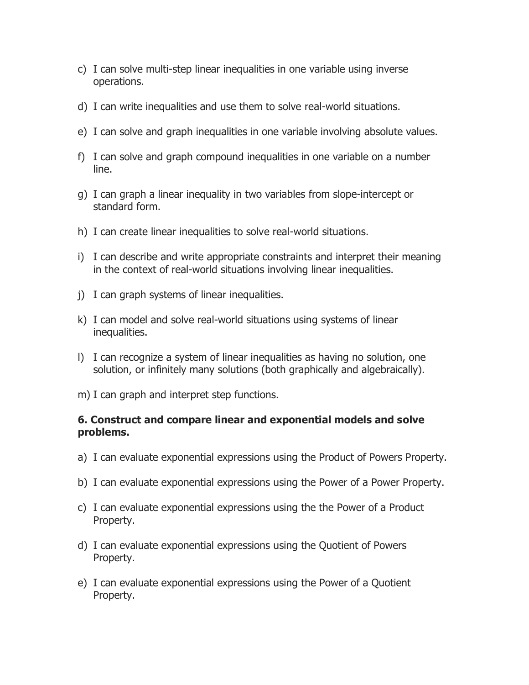- c) I can solve multi-step linear inequalities in one variable using inverse operations.
- d) I can write inequalities and use them to solve real-world situations.
- e) I can solve and graph inequalities in one variable involving absolute values.
- f) I can solve and graph compound inequalities in one variable on a number line.
- g) I can graph a linear inequality in two variables from slope-intercept or standard form.
- h) I can create linear inequalities to solve real-world situations.
- i) I can describe and write appropriate constraints and interpret their meaning in the context of real-world situations involving linear inequalities.
- j) I can graph systems of linear inequalities.
- k) I can model and solve real-world situations using systems of linear inequalities.
- l) I can recognize a system of linear inequalities as having no solution, one solution, or infinitely many solutions (both graphically and algebraically).
- m) I can graph and interpret step functions.

#### **6. Construct and compare linear and exponential models and solve problems.**

- a) I can evaluate exponential expressions using the Product of Powers Property.
- b) I can evaluate exponential expressions using the Power of a Power Property.
- c) I can evaluate exponential expressions using the the Power of a Product Property.
- d) I can evaluate exponential expressions using the Quotient of Powers Property.
- e) I can evaluate exponential expressions using the Power of a Quotient Property.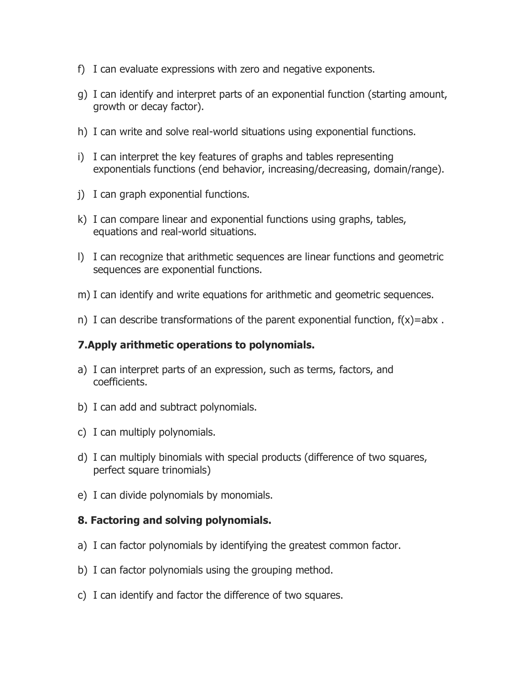- f) I can evaluate expressions with zero and negative exponents.
- g) I can identify and interpret parts of an exponential function (starting amount, growth or decay factor).
- h) I can write and solve real-world situations using exponential functions.
- i) I can interpret the key features of graphs and tables representing exponentials functions (end behavior, increasing/decreasing, domain/range).
- j) I can graph exponential functions.
- k) I can compare linear and exponential functions using graphs, tables, equations and real-world situations.
- l) I can recognize that arithmetic sequences are linear functions and geometric sequences are exponential functions.
- m) I can identify and write equations for arithmetic and geometric sequences.
- n) I can describe transformations of the parent exponential function,  $f(x)$ =abx.

#### **7.Apply arithmetic operations to polynomials.**

- a) I can interpret parts of an expression, such as terms, factors, and coefficients.
- b) I can add and subtract polynomials.
- c) I can multiply polynomials.
- d) I can multiply binomials with special products (difference of two squares, perfect square trinomials)
- e) I can divide polynomials by monomials.

#### **8. Factoring and solving polynomials.**

- a) I can factor polynomials by identifying the greatest common factor.
- b) I can factor polynomials using the grouping method.
- c) I can identify and factor the difference of two squares.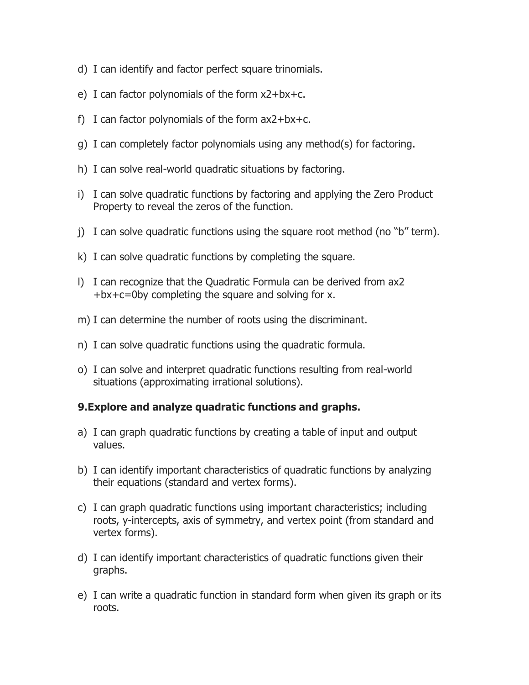- d) I can identify and factor perfect square trinomials.
- e) I can factor polynomials of the form x2+bx+c.
- f) I can factor polynomials of the form  $ax2+bx+c$ .
- g) I can completely factor polynomials using any method(s) for factoring.
- h) I can solve real-world quadratic situations by factoring.
- i) I can solve quadratic functions by factoring and applying the Zero Product Property to reveal the zeros of the function.
- j) I can solve quadratic functions using the square root method (no "b" term).
- k) I can solve quadratic functions by completing the square.
- l) I can recognize that the Quadratic Formula can be derived from ax2 +bx+c=0by completing the square and solving for x.
- m) I can determine the number of roots using the discriminant.
- n) I can solve quadratic functions using the quadratic formula.
- o) I can solve and interpret quadratic functions resulting from real-world situations (approximating irrational solutions).

# **9.Explore and analyze quadratic functions and graphs.**

- a) I can graph quadratic functions by creating a table of input and output values.
- b) I can identify important characteristics of quadratic functions by analyzing their equations (standard and vertex forms).
- c) I can graph quadratic functions using important characteristics; including roots, y-intercepts, axis of symmetry, and vertex point (from standard and vertex forms).
- d) I can identify important characteristics of quadratic functions given their graphs.
- e) I can write a quadratic function in standard form when given its graph or its roots.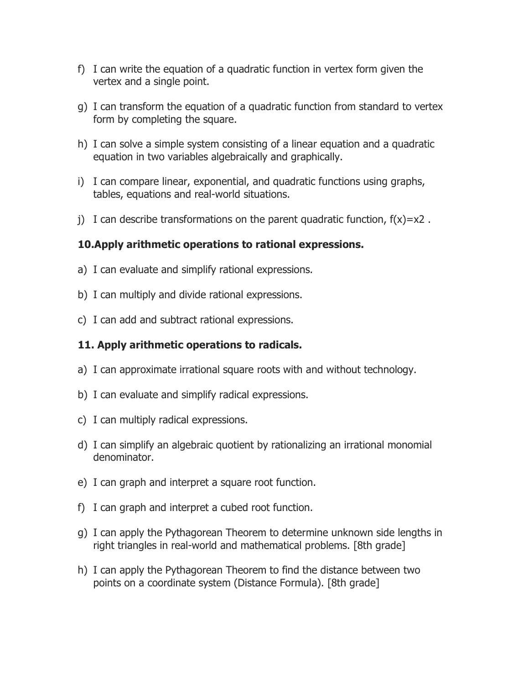- f) I can write the equation of a quadratic function in vertex form given the vertex and a single point.
- g) I can transform the equation of a quadratic function from standard to vertex form by completing the square.
- h) I can solve a simple system consisting of a linear equation and a quadratic equation in two variables algebraically and graphically.
- i) I can compare linear, exponential, and quadratic functions using graphs, tables, equations and real-world situations.
- j) I can describe transformations on the parent quadratic function,  $f(x)=x^2$ .

### **10.Apply arithmetic operations to rational expressions.**

- a) I can evaluate and simplify rational expressions.
- b) I can multiply and divide rational expressions.
- c) I can add and subtract rational expressions.

### **11. Apply arithmetic operations to radicals.**

- a) I can approximate irrational square roots with and without technology.
- b) I can evaluate and simplify radical expressions.
- c) I can multiply radical expressions.
- d) I can simplify an algebraic quotient by rationalizing an irrational monomial denominator.
- e) I can graph and interpret a square root function.
- f) I can graph and interpret a cubed root function.
- g) I can apply the Pythagorean Theorem to determine unknown side lengths in right triangles in real-world and mathematical problems. [8th grade]
- h) I can apply the Pythagorean Theorem to find the distance between two points on a coordinate system (Distance Formula). [8th grade]